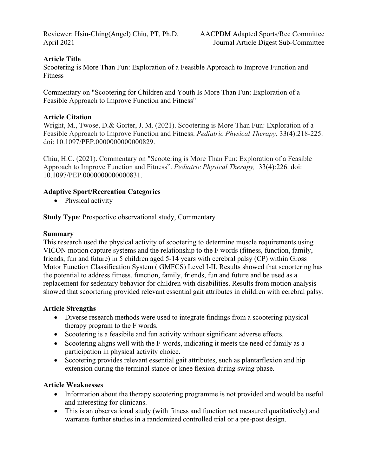Reviewer: Hsiu-Ching(Angel) Chiu, PT, Ph.D. AACPDM Adapted Sports/Rec Committee April 2021 Journal Article Digest Sub-Committee

## **Article Title**

Scootering is More Than Fun: Exploration of a Feasible Approach to Improve Function and Fitness

Commentary on "Scootering for Children and Youth Is More Than Fun: Exploration of a Feasible Approach to Improve Function and Fitness"

## **Article Citation**

Wright, M., Twose, D.& Gorter, J. M. (2021). Scootering is More Than Fun: Exploration of a Feasible Approach to Improve Function and Fitness. *Pediatric Physical Therapy*, 33(4):218-225. doi: 10.1097/PEP.0000000000000829.

Chiu, H.C. (2021). Commentary on "Scootering is More Than Fun: Exploration of a Feasible Approach to Improve Function and Fitness". *Pediatric Physical Therapy,* 33(4):226. doi: 10.1097/PEP.0000000000000831.

### **Adaptive Sport/Recreation Categories**

• Physical activity

**Study Type**: Prospective observational study, Commentary

### **Summary**

This research used the physical activity of scootering to determine muscle requirements using VICON motion capture systems and the relationship to the F words (fitness, function, family, friends, fun and future) in 5 children aged 5-14 years with cerebral palsy (CP) within Gross Motor Function Classification System ( GMFCS) Level I-II. Results showed that scoortering has the potential to address fitness, function, family, friends, fun and future and be used as a replacement for sedentary behavior for children with disabilities. Results from motion analysis showed that scoortering provided relevant essential gait attributes in children with cerebral palsy.

#### **Article Strengths**

- Diverse research methods were used to integrate findings from a scootering physical therapy program to the F words.
- Scootering is a feasibile and fun activity without significant adverse effects.
- Scootering aligns well with the F-words, indicating it meets the need of family as a participation in physical activity choice.
- Sccotering provides relevant essential gait attributes, such as plantarflexion and hip extension during the terminal stance or knee flexion during swing phase.

## **Article Weaknesses**

- Information about the therapy scootering programme is not provided and would be useful and interesting for clinicans.
- This is an observational study (with fitness and function not measured quatitatively) and warrants further studies in a randomized controlled trial or a pre-post design.